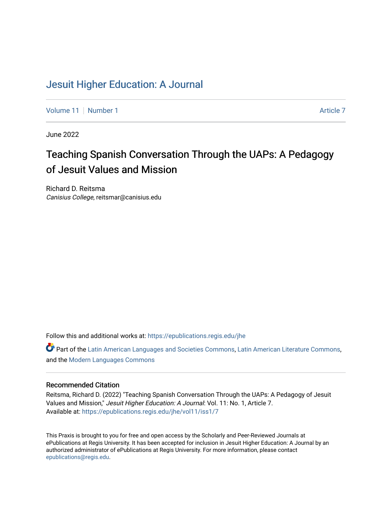## [Jesuit Higher Education: A Journal](https://epublications.regis.edu/jhe)

[Volume 11](https://epublications.regis.edu/jhe/vol11) | [Number 1](https://epublications.regis.edu/jhe/vol11/iss1) [Article 7](https://epublications.regis.edu/jhe/vol11/iss1/7) Article 7 Article 7 Article 7 Article 7 Article 7 Article 7 Article 7

June 2022

# Teaching Spanish Conversation Through the UAPs: A P edagogy of Jesuit Values and Mission

Richard D. Reitsma Canisius College, reitsmar@canisius.edu

Follow this and additional works at: [https://epublications.regis.edu/jhe](https://epublications.regis.edu/jhe?utm_source=epublications.regis.edu%2Fjhe%2Fvol11%2Fiss1%2F7&utm_medium=PDF&utm_campaign=PDFCoverPages) 

Part of the [Latin American Languages and Societies Commons,](https://network.bepress.com/hgg/discipline/483?utm_source=epublications.regis.edu%2Fjhe%2Fvol11%2Fiss1%2F7&utm_medium=PDF&utm_campaign=PDFCoverPages) [Latin American Literature Commons,](https://network.bepress.com/hgg/discipline/547?utm_source=epublications.regis.edu%2Fjhe%2Fvol11%2Fiss1%2F7&utm_medium=PDF&utm_campaign=PDFCoverPages) and the [Modern Languages Commons](https://network.bepress.com/hgg/discipline/1130?utm_source=epublications.regis.edu%2Fjhe%2Fvol11%2Fiss1%2F7&utm_medium=PDF&utm_campaign=PDFCoverPages) 

#### Recommended Citation

Reitsma, Richard D. (2022) "Teaching Spanish Conversation Through the UAPs: A Pedagogy of Jesuit Values and Mission," Jesuit Higher Education: A Journal: Vol. 11: No. 1, Article 7. Available at: [https://epublications.regis.edu/jhe/vol11/iss1/7](https://epublications.regis.edu/jhe/vol11/iss1/7?utm_source=epublications.regis.edu%2Fjhe%2Fvol11%2Fiss1%2F7&utm_medium=PDF&utm_campaign=PDFCoverPages)

This Praxis is brought to you for free and open access by the Scholarly and Peer-Reviewed Journals at ePublications at Regis University. It has been accepted for inclusion in Jesuit Higher Education: A Journal by an authorized administrator of ePublications at Regis University. For more information, please contact [epublications@regis.edu.](mailto:epublications@regis.edu)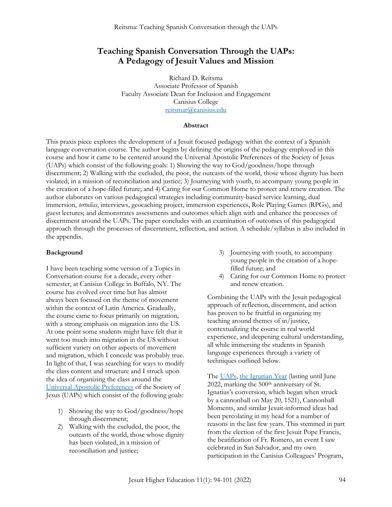## **Teaching Spanish Conversation Through the UAPs: A Pedagogy of Jesuit Values and Mission**

Richard D. Reitsma Associate Professor of Spanish Faculty Associate Dean for Inclusion and Engagement Canisius College [reitsmar@canisius.edu](mailto:reitsmar@canisius.edu)

#### **Abstract**

This praxis piece explores the development of a Jesuit focused pedagogy within the context of a Spanish language conversation course. The author begins by defining the origins of the pedagogy employed in this course and how it came to be centered around the Universal Apostolic Preferences of the Society of Jesus (UAPs) which consist of the following goals: 1) Showing the way to God/goodness/hope through discernment; 2) Walking with the excluded, the poor, the outcasts of the world, those whose dignity has been violated, in a mission of reconciliation and justice; 3) Journeying with youth, to accompany young people in the creation of a hope-filled future; and 4) Caring for our Common Home to protect and renew creation. The author elaborates on various pedagogical strategies including community-based service learning, dual immersion, *tertulias*, interviews, geocaching project, immersion experiences, Role Playing Games (RPGs), and guest lectures; and demonstrates assessments and outcomes which align with and enhance the processes of discernment around the UAPs. The paper concludes with an examination of outcomes of this pedagogical approach through the processes of discernment, reflection, and action. A schedule/syllabus is also included in the appendix.

#### **Background**

I have been teaching some version of a Topics in Conversation course for a decade, every other semester, at Canisius College in Buffalo, NY. The course has evolved over time but has almost always been focused on the theme of movement within the context of Latin America. Gradually, the course came to focus primarily on migration, with a strong emphasis on migration into the US. At one point some students might have felt that it went too much into migration in the US without sufficient variety on other aspects of movement and migration, which I concede was probably true. In light of that, I was searching for ways to modify the class content and structure and I struck upon the idea of organizing the class around the [Universal Apostolic Preferences](https://www.jesuits.global/uap/) of the Society of Jesus (UAPs) which consist of the following goals:

- 1) Showing the way to God/goodness/hope through discernment;
- 2) Walking with the excluded, the poor, the outcasts of the world, those whose dignity has been violated, in a mission of reconciliation and justice;
- 3) Journeying with youth, to accompany young people in the creation of a hopefilled future; and
- 4) Caring for our Common Home to protect and renew creation.

Combining the UAPs with the Jesuit pedagogical approach of reflection, discernment, and action has proven to be fruitful in organizing my teaching around themes of in/justice, contextualizing the course in real world experience, and deepening cultural understanding, all while immersing the students in Spanish language experiences through a variety of techniques outlined below.

Th[e UAPs,](https://www.jesuits.global/uap/) [the Ignatian Year](https://www.jesuits.org/spirituality/ignatian-year/) (lasting until June 2022, marking the 500<sup>th</sup> anniversary of St. Ignatius's conversion, which began when struck by a cannonball on May 20, 1521), Cannonball Moments, and similar Jesuit-informed ideas had been percolating in my head for a number of reasons in the last few years. This stemmed in part from the election of the first Jesuit Pope Francis, the beatification of Fr. Romero, an event I saw celebrated in San Salvador, and my own participation in the Canisius Colleagues' Program,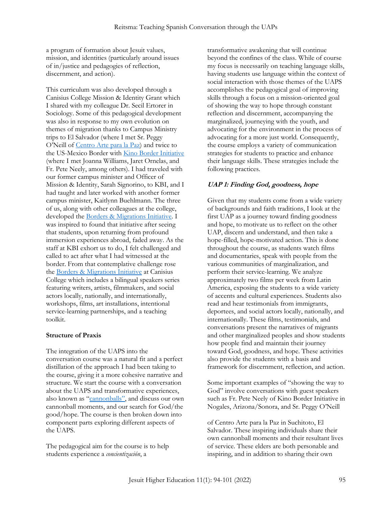a program of formation about Jesuit values, mission, and identities (particularly around issues of in/justice and pedagogies of reflection, discernment, and action).

This curriculum was also developed through a Canisius College Mission & Identity Grant which I shared with my colleague Dr. Secil Ertorer in Sociology. Some of this pedagogical development was also in response to my own evolution on themes of migration thanks to Campus Ministry trips to El Salvador (where I met Sr. Peggy O'Neill of [Centro Arte para la Paz\)](https://capsuchitoto.org/) and twice to the US-Mexico Border with [Kino Border Initiative](https://www.kinoborderinitiative.org/mission-and-values/) (where I met Joanna Williams, Jaret Ornelas, and Fr. Pete Neely, among others). I had traveled with our former campus minister and Officer of Mission & Identity, Sarah Signorino, to KBI, and I had taught and later worked with another former campus minister, Kaitlynn Buehlmann. The three of us, along with other colleagues at the college, developed the Borders & [Migrations Initiative.](https://blogs.canisius.edu/border/) I was inspired to found that initiative after seeing that students, upon returning from profound immersion experiences abroad, faded away. As the staff at KBI exhort us to do, I felt challenged and called to act after what I had witnessed at the border. From that contemplative challenge rose the [Borders & Migrations Initiative](https://blogs.canisius.edu/border/) at Canisius College which includes a bilingual speakers series featuring writers, artists, filmmakers, and social actors locally, nationally, and internationally, workshops, films, art installations, intentional service-learning partnerships, and a teaching toolkit.

#### **Structure of Praxis**

The integration of the UAPS into the conversation course was a natural fit and a perfect distillation of the approach I had been taking to the course, giving it a more cohesive narrative and structure. We start the course with a conversation about the UAPS and transformative experiences, also known as "[cannonballs](https://ignatiansolidarity.net/blog/2021/05/20/cannonball-moments-year-of-ignatius/)", and discuss our own cannonball moments, and our search for God/the good/hope. The course is then broken down into component parts exploring different aspects of the UAPS.

The pedagogical aim for the course is to help students experience a *concientización*, a

transformative awakening that will continue beyond the confines of the class. While of course my focus is necessarily on teaching language skills, having students use language within the context of social interaction with those themes of the UAPS accomplishes the pedagogical goal of improving skills through a focus on a mission-oriented goal of showing the way to hope through constant reflection and discernment, accompanying the marginalized, journeying with the youth, and advocating for the environment in the process of advocating for a more just world*.* Consequently, the course employs a variety of communication strategies for students to practice and enhance their language skills. These strategies include the following practices.

#### **UAP 1: Finding God, goodness, hope**

Given that my students come from a wide variety of backgrounds and faith traditions, I look at the first UAP as a journey toward finding goodness and hope, to motivate us to reflect on the other UAP, discern and understand, and then take a hope-filled, hope-motivated action. This is done throughout the course, as students watch films and documentaries, speak with people from the various communities of marginalization, and perform their service-learning. We analyze approximately two films per week from Latin America, exposing the students to a wide variety of accents and cultural experiences. Students also read and hear testimonials from immigrants, deportees, and social actors locally, nationally, and internationally. These films, testimonials, and conversations present the narratives of migrants and other marginalized peoples and show students how people find and maintain their journey toward God, goodness, and hope. These activities also provide the students with a basis and framework for discernment, reflection, and action.

Some important examples of "showing the way to God" involve conversations with guest speakers such as Fr. Pete Neely of Kino Border Initiative in Nogales, Arizona/Sonora, and Sr. Peggy O'Neill

of Centro Arte para la Paz in Suchitoto, El Salvador. These inspiring individuals share their own cannonball moments and their resultant lives of service. These elders are both personable and inspiring, and in addition to sharing their own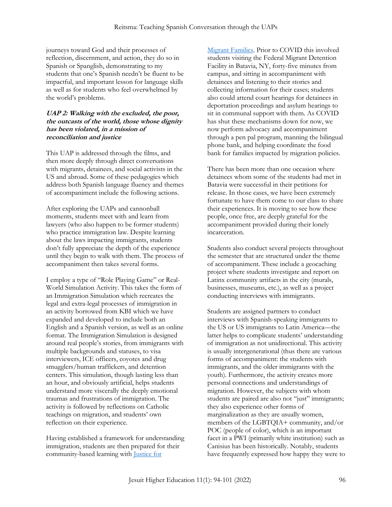journeys toward God and their processes of reflection, discernment, and action, they do so in Spanish or Spanglish, demonstrating to my students that one's Spanish needn't be fluent to be impactful, and important lesson for language skills as well as for students who feel overwhelmed by the world's problems.

#### **UAP 2: Walking with the excluded, the poor, the outcasts of the world, those whose dignity has been violated, in a mission of reconciliation and justice**

This UAP is addressed through the films, and then more deeply through direct conversations with migrants, detainees, and social activists in the US and abroad. Some of these pedagogies which address both Spanish language fluency and themes of accompaniment include the following actions.

After exploring the UAPs and cannonball moments, students meet with and learn from lawyers (who also happen to be former students) who practice immigration law. Despite learning about the laws impacting immigrants, students don't fully appreciate the depth of the experience until they begin to walk with them. The process of accompaniment then takes several forms.

I employ a type of "Role Playing Game" or Real-World Simulation Activity. This takes the form of an Immigration Simulation which recreates the legal and extra-legal processes of immigration in an activity borrowed from KBI which we have expanded and developed to include both an English and a Spanish version, as well as an online format. The Immigration Simulation is designed around real people's stories, from immigrants with multiple backgrounds and statuses, to visa interviewers, ICE officers, coyotes and drug smugglers/human traffickers, and detention centers. This simulation, though lasting less than an hour, and obviously artificial, helps students understand more viscerally the deeply emotional traumas and frustrations of immigration. The activity is followed by reflections on Catholic teachings on migration, and students' own reflection on their experience.

Having established a framework for understanding immigration, students are then prepared for their community-based learning with [Justice for](https://www.justiceformigrantfamilies.org/) 

[Migrant Families.](https://www.justiceformigrantfamilies.org/) Prior to COVID this involved students visiting the Federal Migrant Detention Facility in Batavia, NY, forty-five minutes from campus, and sitting in accompaniment with detainees and listening to their stories and collecting information for their cases; students also could attend court hearings for detainees in deportation proceedings and asylum hearings to sit in communal support with them. As COVID has shut these mechanisms down for now, we now perform advocacy and accompaniment through a pen pal program, manning the bilingual phone bank, and helping coordinate the food bank for families impacted by migration policies.

There has been more than one occasion where detainees whom some of the students had met in Batavia were successful in their petitions for release. In those cases, we have been extremely fortunate to have them come to our class to share their experiences. It is moving to see how these people, once free, are deeply grateful for the accompaniment provided during their lonely incarceration.

Students also conduct several projects throughout the semester that are structured under the theme of accompaniment. These include a geocaching project where students investigate and report on Latinx community artifacts in the city (murals, businesses, museums, etc.), as well as a project conducting interviews with immigrants.

Students are assigned partners to conduct interviews with Spanish-speaking immigrants to the US or US immigrants to Latin America—the latter helps to complicate students' understanding of immigration as not unidirectional. This activity is usually intergenerational (thus there are various forms of accompaniment: the students with immigrants, and the older immigrants with the youth). Furthermore, the activity creates more personal connections and understandings of migration. However, the subjects with whom students are paired are also not "just" immigrants; they also experience other forms of marginalization as they are usually women, members of the LGBTQIA+ community, and/or POC (people of color), which is an important facet in a PWI (primarily white institution) such as Canisius has been historically. Notably, students have frequently expressed how happy they were to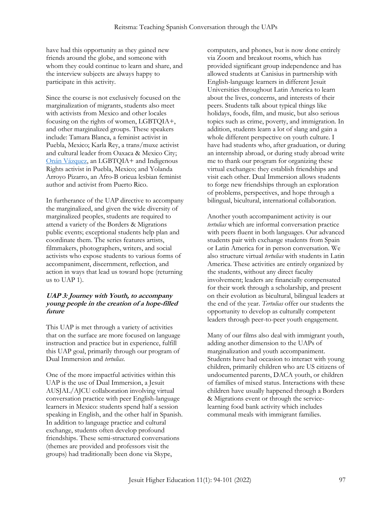have had this opportunity as they gained new friends around the globe, and someone with whom they could continue to learn and share, and the interview subjects are always happy to participate in this activity.

Since the course is not exclusively focused on the marginalization of migrants, students also meet with activists from Mexico and other locales focusing on the rights of women, LGBTQIA+, and other marginalized groups. These speakers include: Tamara Blanca, a feminist activist in Puebla, Mexico; Karla Rey, a trans/muxe activist and cultural leader from Oaxaca & Mexico City; [Onán Vázquez,](https://www.facebook.com/NoDejarseEsIncluirse/) an LGBTQIA+ and Indigenous Rights activist in Puebla, Mexico; and Yolanda Arroyo Pizarro, an Afro-B oricua lesbian feminist author and activist from Puerto Rico.

In furtherance of the UAP directive to accompany the marginalized, and given the wide diversity of marginalized peoples, students are required to attend a variety of the Borders & Migrations public events; exceptional students help plan and coordinate them. The series features artists, filmmakers, photographers, writers, and social activists who expose students to various forms of accompaniment, discernment, reflection, and action in ways that lead us toward hope (returning us to UAP 1).

#### **UAP 3: Journey with Youth, to accompany young people in the creation of a hope-filled future**

This UAP is met through a variety of activities that on the surface are more focused on language instruction and practice but in experience, fulfill this UAP goal, primarily through our program of Dual Immersion and *tertulias*.

One of the more impactful activities within this UAP is the use of Dual Immersion, a Jesuit AUSJAL/AJCU collaboration involving virtual conversation practice with peer English-language learners in Mexico: students spend half a session speaking in English, and the other half in Spanish. In addition to language practice and cultural exchange, students often develop profound friendships. These semi-structured conversations (themes are provided and professors visit the groups) had traditionally been done via Skype,

computers, and phones, but is now done entirely via Zoom and breakout rooms, which has provided significant group independence and has allowed students at Canisius in partnership with English-language learners in different Jesuit Universities throughout Latin America to learn about the lives, concerns, and interests of their peers. Students talk about typical things like holidays, foods, film, and music, but also serious topics such as crime, poverty, and immigration. In addition, students learn a lot of slang and gain a whole different perspective on youth culture. I have had students who, after graduation, or during an internship abroad, or during study abroad write me to thank our program for organizing these virtual exchanges: they establish friendships and visit each other. Dual Immersion allows students to forge new friendships through an exploration of problems, perspectives, and hope through a bilingual, bicultural, international collaboration.

Another youth accompaniment activity is our *tertulias* which are informal conversation practice with peers fluent in both languages. Our advanced students pair with exchange students from Spain or Latin America for in person conversation. We also structure virtual *tertulias* with students in Latin America. These activities are entirely organized by the students, without any direct faculty involvement; leaders are financially compensated for their work through a scholarship, and present on their evolution as bicultural, bilingual leaders at the end of the year. *Tertulias* offer our students the opportunity to develop as culturally competent leaders through peer-to-peer youth engagement.

Many of our films also deal with immigrant youth, adding another dimension to the UAPs of marginalization and youth accompaniment. Students have had occasion to interact with young children, primarily children who are US citizens of undocumented parents, DACA youth, or children of families of mixed status. Interactions with these children have usually happened through a Borders & Migrations event or through the servicelearning food bank activity which includes communal meals with immigrant families.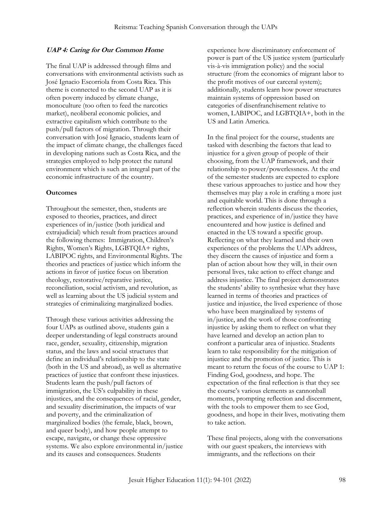#### **UAP 4: Caring for Our Common Home**

The final UAP is addressed through films and conversations with environmental activists such as José Ignacio Escorriola from Costa Rica. This theme is connected to the second UAP as it is often poverty induced by climate change, monoculture (too often to feed the narcotics market), neoliberal economic policies, and extractive capitalism which contribute to the push/pull factors of migration. Through their conversation with José Ignacio, students learn of the impact of climate change, the challenges faced in developing nations such as Costa Rica, and the strategies employed to help protect the natural environment which is such an integral part of the economic infrastructure of the country.

#### **Outcomes**

Throughout the semester, then, students are exposed to theories, practices, and direct experiences of in/justice (both juridical and extrajudicial) which result from practices around the following themes: Immigration, Children's Rights, Women's Rights, LGBTQIA+ rights, LABIPOC rights, and Environmental Rights. The theories and practices of justice which inform the actions in favor of justice focus on liberation theology, restorative/reparative justice, reconciliation, social activism, and revolution, as well as learning about the US judicial system and strategies of criminalizing marginalized bodies*.*

Through these various activities addressing the four UAPs as outlined above, students gain a deeper understanding of legal constructs around race, gender, sexuality, citizenship, migration status, and the laws and social structures that define an individual's relationship to the state (both in the US and abroad), as well as alternative practices of justice that confront these injustices. Students learn the push/pull factors of immigration, the US's culpability in these injustices, and the consequences of racial, gender, and sexuality discrimination, the impacts of war and poverty, and the criminalization of marginalized bodies (the female, black, brown, and queer body), and how people attempt to escape, navigate, or change these oppressive systems. We also explore environmental in/justice and its causes and consequences. Students

experience how discriminatory enforcement of power is part of the US justice system (particularly vis-à-vis immigration policy) and the social structure (from the economics of migrant labor to the profit motives of our carceral system); additionally, students learn how power structures maintain systems of oppression based on categories of disenfranchisement relative to women, LABIPOC, and LGBTQIA+, both in the US and Latin America.

In the final project for the course, students are tasked with describing the factors that lead to injustice for a given group of people of their choosing, from the UAP framework, and their relationship to power/powerlessness. At the end of the semester students are expected to explore these various approaches to justice and how they themselves may play a role in crafting a more just and equitable world. This is done through a reflection wherein students discuss the theories, practices, and experience of in/justice they have encountered and how justice is defined and enacted in the US toward a specific group. Reflecting on what they learned and their own experiences of the problems the UAPs address, they discern the causes of injustice and form a plan of action about how they will, in their own personal lives, take action to effect change and address injustice. The final project demonstrates the students' ability to synthesize what they have learned in terms of theories and practices of justice and injustice, the lived experience of those who have been marginalized by systems of in/justice, and the work of those confronting injustice by asking them to reflect on what they have learned and develop an action plan to confront a particular area of injustice. Students learn to take responsibility for the mitigation of injustice and the promotion of justice. This is meant to return the focus of the course to UAP 1: Finding God, goodness, and hope. The expectation of the final reflection is that they see the course's various elements as cannonball moments, prompting reflection and discernment, with the tools to empower them to see God, goodness, and hope in their lives, motivating them to take action.

These final projects, along with the conversations with our guest speakers, the interviews with immigrants, and the reflections on their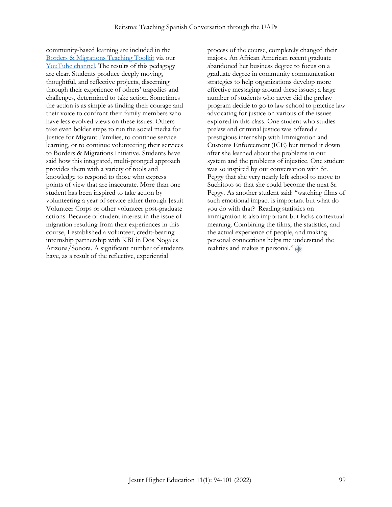community-based learning are included in the [Borders & Migrations Teaching Toolkit](https://drive.google.com/drive/folders/1DRSFqcz6Y_N2-cJ_3AEHCwYPKcQKf5nk?usp=sharing) via our [YouTube channel.](https://www.youtube.com/channel/UCOMF7XtMKJIuVb1s4_hgapg/playlists) The results of this pedagogy are clear. Students produce deeply moving, thoughtful, and reflective projects, discerning through their experience of others' tragedies and challenges, determined to take action. Sometimes the action is as simple as finding their courage and their voice to confront their family members who have less evolved views on these issues. Others take even bolder steps to run the social media for Justice for Migrant Families, to continue service learning, or to continue volunteering their services to Borders & Migrations Initiative. Students have said how this integrated, multi-pronged approach provides them with a variety of tools and knowledge to respond to those who express points of view that are inaccurate. More than one student has been inspired to take action by volunteering a year of service either through Jesuit Volunteer Corps or other volunteer post-graduate actions. Because of student interest in the issue of migration resulting from their experiences in this course, I established a volunteer, credit-bearing internship partnership with KBI in Dos Nogales Arizona/Sonora. A significant number of students have, as a result of the reflective, experiential

process of the course, completely changed their majors. An African American recent graduate abandoned her business degree to focus on a graduate degree in community communication strategies to help organizations develop more effective messaging around these issues; a large number of students who never did the prelaw program decide to go to law school to practice law advocating for justice on various of the issues explored in this class. One student who studies prelaw and criminal justice was offered a prestigious internship with Immigration and Customs Enforcement (ICE) but turned it down after she learned about the problems in our system and the problems of injustice. One student was so inspired by our conversation with Sr. Peggy that she very nearly left school to move to Suchitoto so that she could become the next Sr. Peggy. As another student said: "watching films of such emotional impact is important but what do you do with that? Reading statistics on immigration is also important but lacks contextual meaning. Combining the films, the statistics, and the actual experience of people, and making personal connections helps me understand the realities and makes it personal."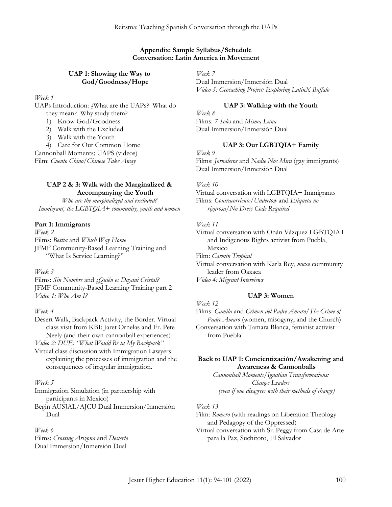#### **Appendix: Sample Syllabus/Schedule Conversation: Latin America in Movement**

#### **UAP 1: Showing the Way to God/Goodness/Hope**

*Week 1*

UAPs Introduction: ¿What are the UAPs? What do they mean? Why study them?

1) Know God/Goodness

2) Walk with the Excluded

3) Walk with the Youth

4) Care for Our Common Home Cannonball Moments; UAPS (videos) Film: *Cuento Chino/Chinese Take Away*

## **UAP 2 & 3: Walk with the Marginalized & Accompanying the Youth**

*Who are the marginalized and excluded? Immigrant, the LGBTQIA+ community, youth and women*

#### **Part 1: Immigrants**

*Week 2* Films: *Bestia* and *Which Way Home* JFMF Community-Based Learning Training and "What Is Service Learning?"

#### *Week 3*

Films: *Sin Nombre* and *¿Quién es Dayani Cristal?* JFMF Community-Based Learning Training part 2 *Video 1: Who Am I?*

#### *Week 4*

Desert Walk, Backpack Activity, the Border. Virtual class visit from KBI: Jaret Ornelas and Fr. Pete Neely (and their own cannonball experiences)

*Video 2: DUE: "What Would Be in My Backpack"*

Virtual class discussion with Immigration Lawyers explaining the processes of immigration and the consequences of irregular immigration.

#### *Week 5*

Immigration Simulation (in partnership with participants in Mexico)

Begin AUSJAL/AJCU Dual Immersion/Inmersión

Dual

#### *Week 6*

Films: *Crossing Arizona* and *Desierto* Dual Immersion/Inmersión Dual

*Week 7*

Dual Immersion/Inmersión Dual *Video 3: Geocaching Project: Exploring LatinX Buffalo*

## **UAP 3: Walking with the Youth**

*Week 8* Films: *7 Soles* and *Misma Luna* Dual Immersion/Inmersión Dual

#### **UAP 3: Our LGBTQIA+ Family**

*Week 9* Films: *Jornaleros* and *Nadie Nos Mira* (gay immigrants) Dual Immersion/Inmersión Dual

#### *Week 10*

Virtual conversation with LGBTQIA+ Immigrants Films: *Contracorriente/Undertow* and *Etiqueta no rigurosa/No Dress Code Required*

#### *Week 11*

Virtual conversation with Onán Vázquez LGBTQIA+ and Indigenous Rights activist from Puebla, Mexico Film: *Carmín Tropical* Virtual conversation with Karla Rey, *muxe* community leader from Oaxaca *Video 4: Migrant Interviews*

#### **UAP 3: Women**

*Week 12* Films: *Camila* and *Crimen del Padre Amaro/The Crime of Padre Amaro* (women, misogyny, and the Church) Conversation with Tamara Blanca, feminist activist from Puebla

## **Back to UAP 1: Concientización/Awakening and Awareness & Cannonballs**

*Cannonball Moments/Ignatian Transformations: Change Leaders (even if one disagrees with their methods of change)*

#### *Week 13*

Film: *Romero* (with readings on Liberation Theology and Pedagogy of the Oppressed) Virtual conversation with Sr. Peggy from Casa de Arte

para la Paz, Suchitoto, El Salvador